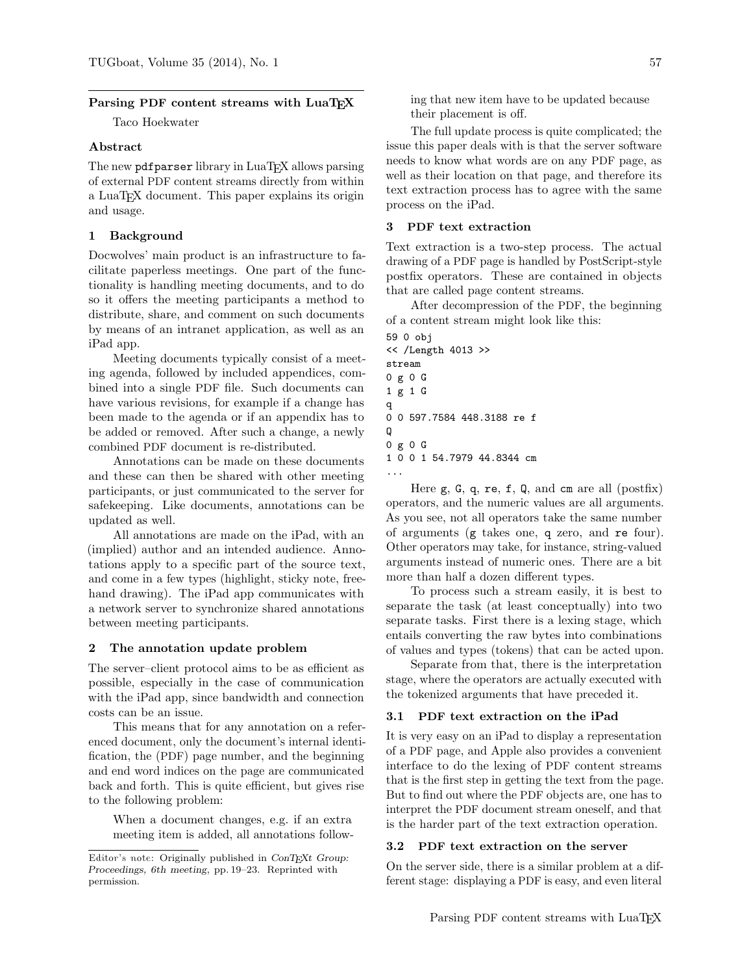#### Parsing PDF content streams with LuaTFX

Taco Hoekwater

#### Abstract

The new pdf parser library in LuaT<sub>E</sub>X allows parsing of external PDF content streams directly from within a LuaTEX document. This paper explains its origin and usage.

### 1 Background

Docwolves' main product is an infrastructure to facilitate paperless meetings. One part of the functionality is handling meeting documents, and to do so it offers the meeting participants a method to distribute, share, and comment on such documents by means of an intranet application, as well as an iPad app.

Meeting documents typically consist of a meeting agenda, followed by included appendices, combined into a single PDF file. Such documents can have various revisions, for example if a change has been made to the agenda or if an appendix has to be added or removed. After such a change, a newly combined PDF document is re-distributed.

Annotations can be made on these documents and these can then be shared with other meeting participants, or just communicated to the server for safekeeping. Like documents, annotations can be updated as well.

All annotations are made on the iPad, with an (implied) author and an intended audience. Annotations apply to a specific part of the source text, and come in a few types (highlight, sticky note, freehand drawing). The iPad app communicates with a network server to synchronize shared annotations between meeting participants.

#### 2 The annotation update problem

The server–client protocol aims to be as efficient as possible, especially in the case of communication with the iPad app, since bandwidth and connection costs can be an issue.

This means that for any annotation on a referenced document, only the document's internal identification, the (PDF) page number, and the beginning and end word indices on the page are communicated back and forth. This is quite efficient, but gives rise to the following problem:

When a document changes, e.g. if an extra meeting item is added, all annotations following that new item have to be updated because their placement is off.

The full update process is quite complicated; the issue this paper deals with is that the server software needs to know what words are on any PDF page, as well as their location on that page, and therefore its text extraction process has to agree with the same process on the iPad.

## 3 PDF text extraction

Text extraction is a two-step process. The actual drawing of a PDF page is handled by PostScript-style postfix operators. These are contained in objects that are called page content streams.

After decompression of the PDF, the beginning of a content stream might look like this:

```
59 0 obj
<< /Length 4013 >>
stream
0 g 0 G
1 g 1 G
q
0 0 597.7584 448.3188 re f
Q
0 g 0 G
1 0 0 1 54.7979 44.8344 cm
...
```
Here  $g, G, q, re, f, Q, and cm are all (postfix)$ operators, and the numeric values are all arguments. As you see, not all operators take the same number of arguments (g takes one, q zero, and re four). Other operators may take, for instance, string-valued arguments instead of numeric ones. There are a bit more than half a dozen different types.

To process such a stream easily, it is best to separate the task (at least conceptually) into two separate tasks. First there is a lexing stage, which entails converting the raw bytes into combinations of values and types (tokens) that can be acted upon.

Separate from that, there is the interpretation stage, where the operators are actually executed with the tokenized arguments that have preceded it.

# 3.1 PDF text extraction on the iPad

It is very easy on an iPad to display a representation of a PDF page, and Apple also provides a convenient interface to do the lexing of PDF content streams that is the first step in getting the text from the page. But to find out where the PDF objects are, one has to interpret the PDF document stream oneself, and that is the harder part of the text extraction operation.

#### 3.2 PDF text extraction on the server

On the server side, there is a similar problem at a different stage: displaying a PDF is easy, and even literal

Editor's note: Originally published in  $ConT_FXt$  Group: Proceedings, 6th meeting, pp. 19–23. Reprinted with permission.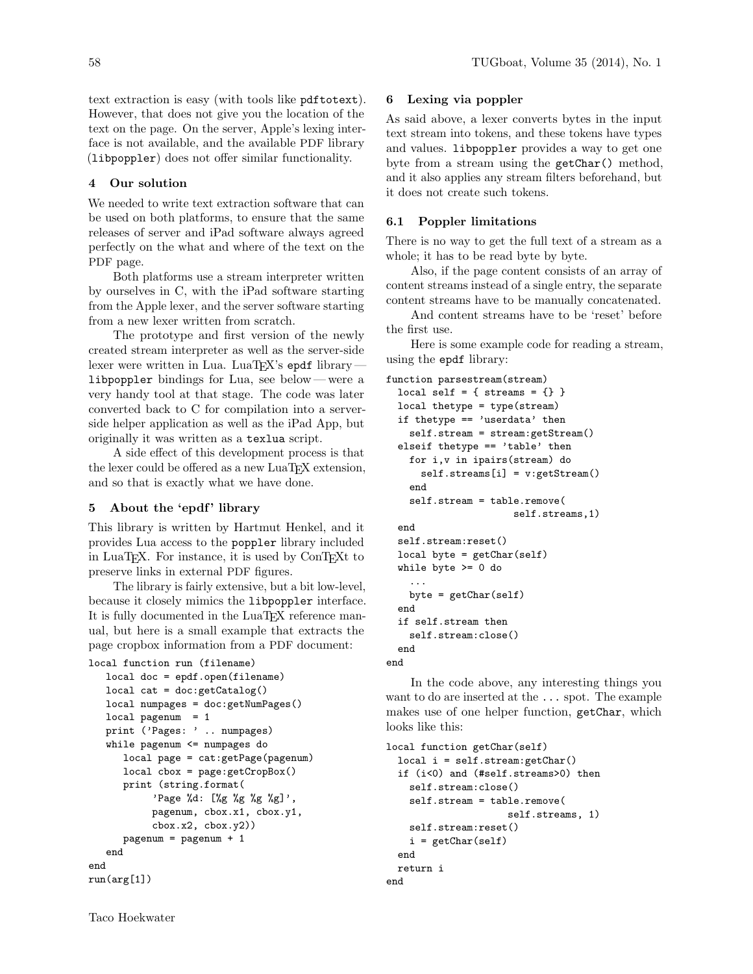text extraction is easy (with tools like pdftotext). However, that does not give you the location of the text on the page. On the server, Apple's lexing interface is not available, and the available PDF library (libpoppler) does not offer similar functionality.

# 4 Our solution

We needed to write text extraction software that can be used on both platforms, to ensure that the same releases of server and iPad software always agreed perfectly on the what and where of the text on the PDF page.

Both platforms use a stream interpreter written by ourselves in C, with the iPad software starting from the Apple lexer, and the server software starting from a new lexer written from scratch.

The prototype and first version of the newly created stream interpreter as well as the server-side lexer were written in Lua. LuaT<sub>EX</sub>'s epdf library libpoppler bindings for Lua, see below— were a very handy tool at that stage. The code was later converted back to C for compilation into a serverside helper application as well as the iPad App, but originally it was written as a texlua script.

A side effect of this development process is that the lexer could be offered as a new  $\text{LuaTrX}$  extension, and so that is exactly what we have done.

# 5 About the 'epdf' library

This library is written by Hartmut Henkel, and it provides Lua access to the poppler library included in LuaT<sub>EX</sub>. For instance, it is used by ConTEXt to preserve links in external PDF figures.

The library is fairly extensive, but a bit low-level, because it closely mimics the libpoppler interface. It is fully documented in the LuaT<sub>EX</sub> reference manual, but here is a small example that extracts the page cropbox information from a PDF document:

```
local function run (filename)
  local doc = epdf.open(filename)
  local cat = doc:getCatalog()
   local numpages = doc:getNumPages()
  local pagenum = 1print ('Pages: ' .. numpages)
   while pagenum <= numpages do
      local page = cat:getPage(pagenum)
      local cbox = page:getCropBox()
      print (string.format(
           'Page %d: [%g %g %g %g]',
           pagenum, cbox.x1, cbox.y1,
           cbox.x2, cbox.y2))
      pagenum = pagenum + 1
   end
end
run(arg[1])
```
# 6 Lexing via poppler

As said above, a lexer converts bytes in the input text stream into tokens, and these tokens have types and values. libpoppler provides a way to get one byte from a stream using the getChar() method, and it also applies any stream filters beforehand, but it does not create such tokens.

## 6.1 Poppler limitations

There is no way to get the full text of a stream as a whole; it has to be read byte by byte.

Also, if the page content consists of an array of content streams instead of a single entry, the separate content streams have to be manually concatenated.

And content streams have to be 'reset' before the first use.

Here is some example code for reading a stream, using the epdf library:

```
function parsestream(stream)
 local self = { streams = \{\} }
 local thetype = type(stream)
 if thetype == 'userdata' then
   self.stream = stream:getStream()
 elseif thetype == 'table' then
   for i,v in ipairs(stream) do
      self.streams[i] = v:getStream()
   end
   self.stream = table.remove(
                      self.streams,1)
 end
 self.stream:reset()
 local byte = getChar(self)
 while byte >= 0 do
    ...
   byte = getChar(self)
  end
 if self.stream then
   self.stream:close()
  end
```
end

In the code above, any interesting things you want to do are inserted at the ... spot. The example makes use of one helper function, getChar, which looks like this:

```
local function getChar(self)
 local i = self.stream:getChar()
 if (i<0) and (#self.streams>0) then
    self.stream:close()
   self.stream = table.remove(
                     self.streams, 1)
    self.stream:reset()
   i = getChar(self)end
 return i
end
```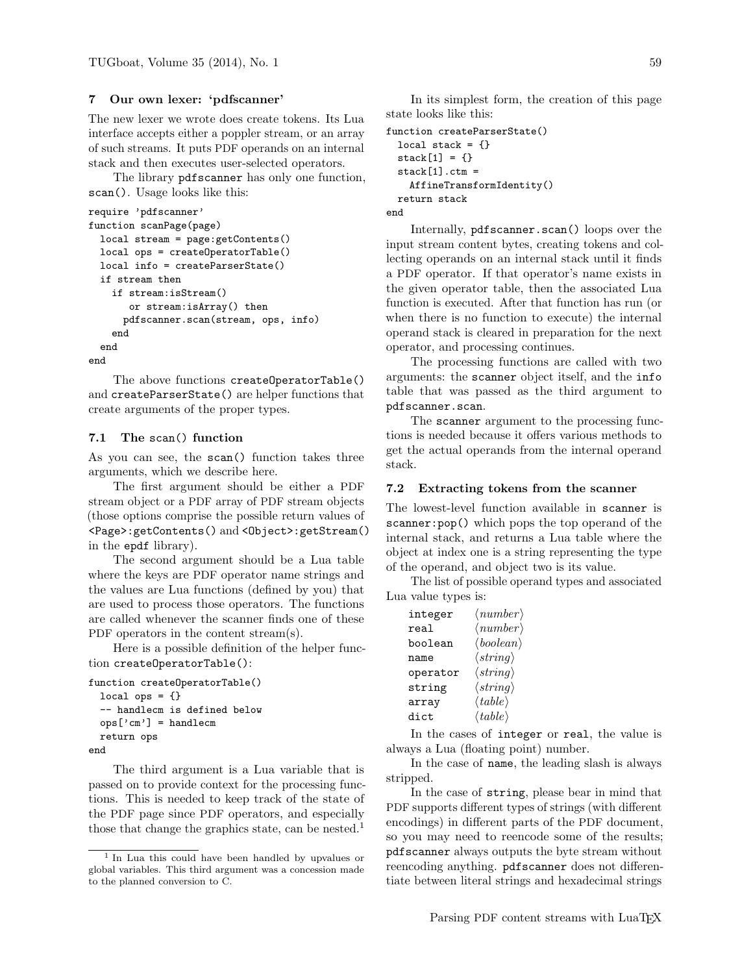## 7 Our own lexer: 'pdfscanner'

The new lexer we wrote does create tokens. Its Lua interface accepts either a poppler stream, or an array of such streams. It puts PDF operands on an internal stack and then executes user-selected operators.

The library pdfscanner has only one function, scan(). Usage looks like this:

```
require 'pdfscanner'
function scanPage(page)
  local stream = page:getContents()
 local ops = createOperatorTable()
 local info = createParserState()
  if stream then
    if stream:isStream()
       or stream:isArray() then
      pdfscanner.scan(stream, ops, info)
    end
  end
end
```
The above functions createOperatorTable() and createParserState() are helper functions that create arguments of the proper types.

# 7.1 The scan() function

As you can see, the scan() function takes three arguments, which we describe here.

The first argument should be either a PDF stream object or a PDF array of PDF stream objects (those options comprise the possible return values of <Page>:getContents() and <Object>:getStream() in the epdf library).

The second argument should be a Lua table where the keys are PDF operator name strings and the values are Lua functions (defined by you) that are used to process those operators. The functions are called whenever the scanner finds one of these PDF operators in the content stream(s).

Here is a possible definition of the helper function createOperatorTable():

```
function createOperatorTable()
 local ops = \{\}-- handlecm is defined below
 ops['cm'] = handlecmreturn ops
end
```
The third argument is a Lua variable that is passed on to provide context for the processing functions. This is needed to keep track of the state of the PDF page since PDF operators, and especially those that change the graphics state, can be nested.<sup>1</sup>

In its simplest form, the creation of this page state looks like this:

```
function createParserState()
 local stack = \{\}stack[1] = \{\}stack[1].ctm =AffineTransformIdentity()
 return stack
end
```
Internally, pdfscanner.scan() loops over the input stream content bytes, creating tokens and collecting operands on an internal stack until it finds a PDF operator. If that operator's name exists in the given operator table, then the associated Lua function is executed. After that function has run (or when there is no function to execute) the internal operand stack is cleared in preparation for the next operator, and processing continues.

The processing functions are called with two arguments: the scanner object itself, and the info table that was passed as the third argument to pdfscanner.scan.

The scanner argument to the processing functions is needed because it offers various methods to get the actual operands from the internal operand stack.

# 7.2 Extracting tokens from the scanner

The lowest-level function available in scanner is scanner: pop() which pops the top operand of the internal stack, and returns a Lua table where the object at index one is a string representing the type of the operand, and object two is its value.

The list of possible operand types and associated Lua value types is:

| integer  | $\langle number \rangle$         |
|----------|----------------------------------|
| real     | $\langle number \rangle$         |
| boolean  | $\langle boolean \rangle$        |
| name     | $\langle string \rangle$         |
| operator | $\langle string \rangle$         |
| string   | $\langle string \rangle$         |
| array    | $\langle \mathit{table} \rangle$ |
| dict.    | $\langle \mathit{table} \rangle$ |

In the cases of integer or real, the value is always a Lua (floating point) number.

In the case of name, the leading slash is always stripped.

In the case of string, please bear in mind that PDF supports different types of strings (with different encodings) in different parts of the PDF document, so you may need to reencode some of the results; pdfscanner always outputs the byte stream without reencoding anything. pdfscanner does not differentiate between literal strings and hexadecimal strings

<sup>1</sup> In Lua this could have been handled by upvalues or global variables. This third argument was a concession made to the planned conversion to C.